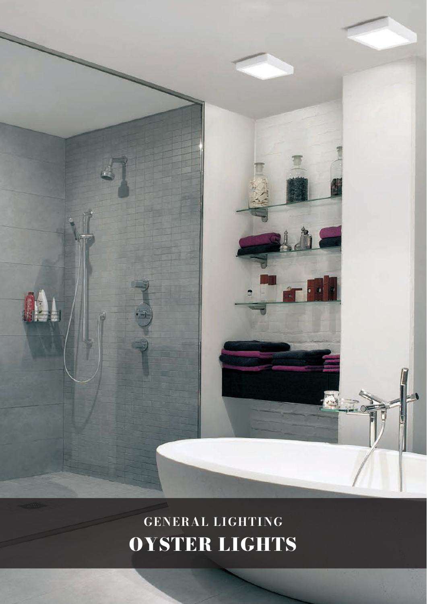

# GENERAL LIGHTING OYSTER LIGHTS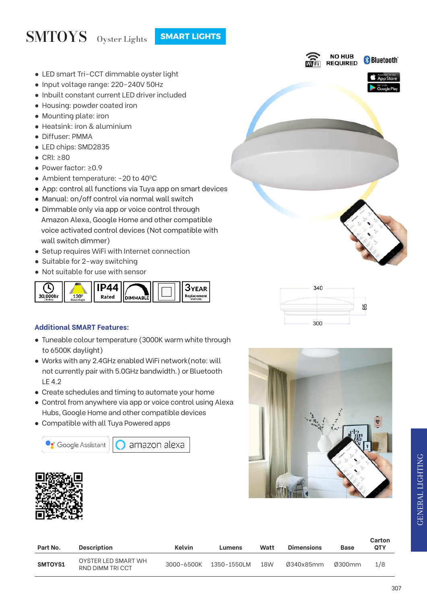### SMTOYS Oyster Lights **SMART LIGHTS**

- LED smart Tri-CCT dimmable oyster light
- Input voltage range: 220-240V 50Hz
- Inbuilt constant current LED driver included
- Housing: powder coated iron
- Mounting plate: iron
- Heatsink: iron & aluminium
- Diffuser: PMMA
- LED chips: SMD2835
- CRI: ≥80
- Power factor: ≥0.9
- Ambient temperature: -20 to 40°C
- App: control all functions via Tuya app on smart devices
- Manual: on/off control via normal wall switch
- Dimmable only via app or voice control through Amazon Alexa, Google Home and other compatible voice activated control devices (Not compatible with wall switch dimmer)
- Setup requires WiFi with Internet connection
- Suitable for 2-way switching
- Not suitable for use with sensor



#### **Additional SMART Features:**

- Tuneable colour temperature (3000K warm white through to 6500K daylight)
- Works with any 2.4GHz enabled WiFi network(note: will not currently pair with 5.0GHz bandwidth.) or Bluetooth LE 4.2
- Create schedules and timing to automate your home
- Control from anywhere via app or voice control using Alexa Hubs, Google Home and other compatible devices
- Compatible with all Tuya Powered apps



amazon alexa









| Part No. | <b>Description</b>                     | Kelvin     | Lumens      | Watt | <b>Dimensions</b> | <b>Base</b> | Carton<br><b>OTY</b> |
|----------|----------------------------------------|------------|-------------|------|-------------------|-------------|----------------------|
| SMTOYS1  | OYSTER LED SMART WH<br>RND DIMM TRICCT | 3000-6500K | 1350-1550LM | 18W  | Ø340x85mm         | Ø300mm      | 1/8                  |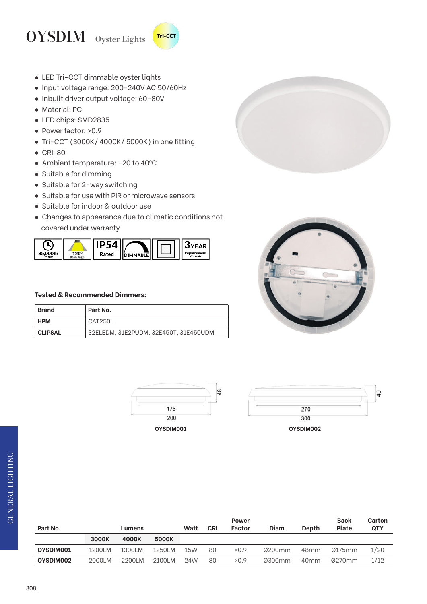#### OYSDIM Oyster Lights **Tri-CCT**

- LED Tri-CCT dimmable oyster lights
- Input voltage range: 200-240V AC 50/60Hz
- Inbuilt driver output voltage: 60-80V
- Material: PC
- LED chips: SMD2835
- Power factor: >0.9
- Tri-CCT (3000K/ 4000K/ 5000K) in one fitting
- CRI: 80
- Ambient temperature: -20 to 40°C
- Suitable for dimming
- Suitable for 2-way switching
- Suitable for use with PIR or microwave sensors
- Suitable for indoor & outdoor use
- Changes to appearance due to climatic conditions not covered under warranty



#### **Tested & Recommended Dimmers:**

| Brand          | Part No.                              |
|----------------|---------------------------------------|
| <b>HPM</b>     | CAT250L                               |
| <b>CLIPSAL</b> | 32ELEDM, 31E2PUDM, 32E450T, 31E450UDM |









| Part No.  |        | Lumens |        | Watt | <b>CRI</b> | <b>Power</b><br>Factor | Diam   | <b>Depth</b>     | <b>Back</b><br>Plate | Carton<br><b>QTY</b> |
|-----------|--------|--------|--------|------|------------|------------------------|--------|------------------|----------------------|----------------------|
|           | 3000K  | 4000K  | 5000K  |      |            |                        |        |                  |                      |                      |
| OYSDIM001 | 1200LM | 1300LM | 1250LM | 15W  | 80         | >0.9                   | Ø200mm | 48 <sub>mm</sub> | Ø175mm               | 1/20                 |
| OYSDIM002 | 2000LM | 2200LM | 2100LM | 24W  | 80         | >0.9                   | Ø300mm | 40 <sub>mm</sub> | Ø270mm               | 1/12                 |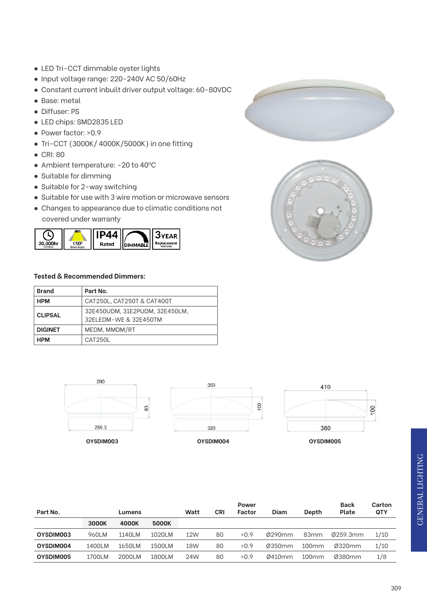- LED Tri-CCT dimmable oyster lights
- Input voltage range: 220-240V AC 50/60Hz
- Constant current inbuilt driver output voltage: 60-80VDC
- Base: metal
- Diffuser: PS
- LED chips: SMD2835 LED
- Power factor: >0.9
- Tri-CCT (3000K/ 4000K/5000K) in one fitting
- CRI: 80
- Ambient temperature: -20 to 40°C
- Suitable for dimming
- Suitable for 2-way switching
- Suitable for use with 3 wire motion or microwave sensors
- Changes to appearance due to climatic conditions not covered under warranty



#### **Tested & Recommended Dimmers:**

| <b>Brand</b>   | Part No.                                                |
|----------------|---------------------------------------------------------|
| <b>HPM</b>     | CAT250L, CAT250T & CAT400T                              |
| <b>CLIPSAL</b> | 32E450UDM, 31E2PUDM, 32E450LM,<br>32ELEDM-WE & 32E450TM |
| <b>DIGINET</b> | MEDM, MMDM/RT                                           |
| <b>HPM</b>     | CAT250L                                                 |



|           |        | <b>Power</b> |         |      |            |        |        |                  |          | Carton     |
|-----------|--------|--------------|---------|------|------------|--------|--------|------------------|----------|------------|
| Part No.  | Lumens |              |         | Watt | <b>CRI</b> | Factor | Diam   | Depth            | Plate    | <b>QTY</b> |
|           | 3000K  | 4000K        | 5000K   |      |            |        |        |                  |          |            |
| OYSDIM003 | 960LM  | 1140LM       | 1020I M | 12W  | 80         | >0.9   | Ø290mm | 83 <sub>mm</sub> | Ø259.3mm | 1/10       |
| OYSDIM004 | 1400LM | 1650LM       | 1500LM  | 18W  | 80         | >0.9   | Ø350mm | $100$ mm         | Ø320mm   | 1/10       |
| OYSDIM005 | 1700LM | 2000LM       | 1800LM  | 24W  | 80         | >0.9   | Ø410mm | $100$ mm         | Ø380mm   | 1/8        |